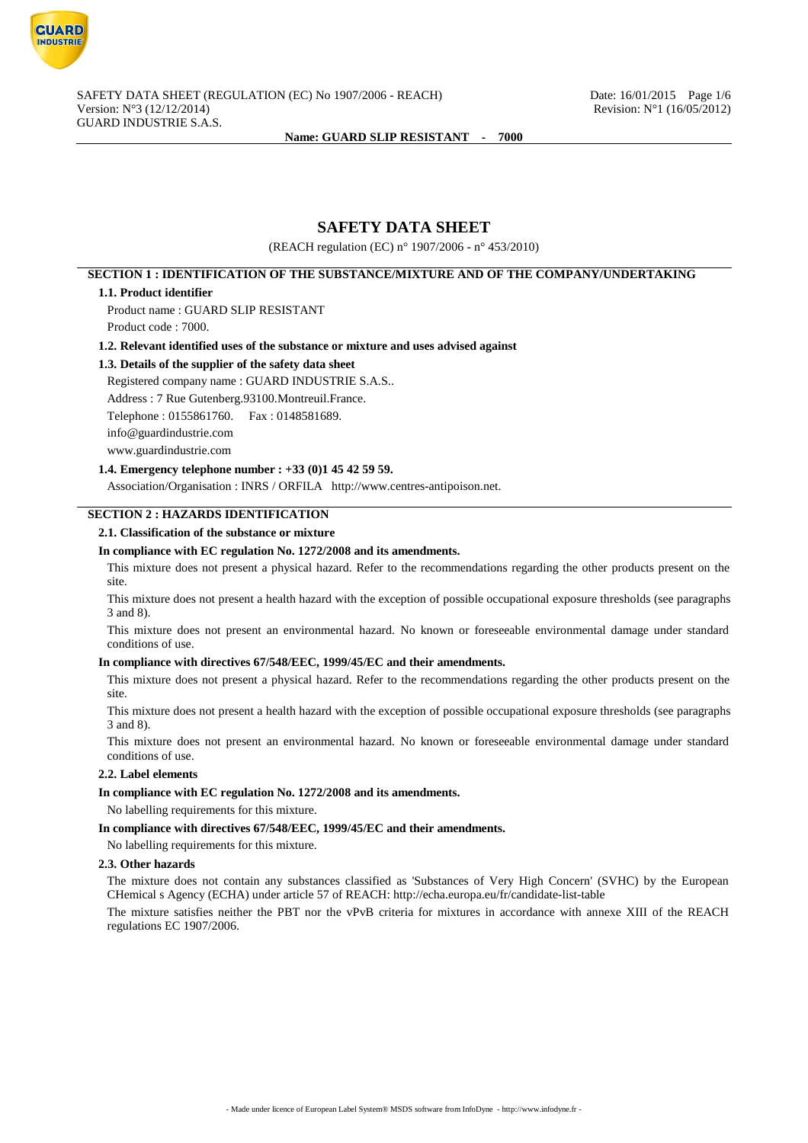

# **SAFETY DATA SHEET**

(REACH regulation (EC) n° 1907/2006 - n° 453/2010)

# **SECTION 1 : IDENTIFICATION OF THE SUBSTANCE/MIXTURE AND OF THE COMPANY/UNDERTAKING**

#### **1.1. Product identifier**

Product name : GUARD SLIP RESISTANT Product code : 7000.

#### **1.2. Relevant identified uses of the substance or mixture and uses advised against**

### **1.3. Details of the supplier of the safety data sheet**

Registered company name : GUARD INDUSTRIE S.A.S..

Address : 7 Rue Gutenberg.93100.Montreuil.France.

Telephone : 0155861760. Fax : 0148581689.

info@guardindustrie.com

www.guardindustrie.com

## **1.4. Emergency telephone number : +33 (0)1 45 42 59 59.**

Association/Organisation : INRS / ORFILA http://www.centres-antipoison.net.

## **SECTION 2 : HAZARDS IDENTIFICATION**

### **2.1. Classification of the substance or mixture**

#### **In compliance with EC regulation No. 1272/2008 and its amendments.**

This mixture does not present a physical hazard. Refer to the recommendations regarding the other products present on the site.

This mixture does not present a health hazard with the exception of possible occupational exposure thresholds (see paragraphs 3 and 8).

This mixture does not present an environmental hazard. No known or foreseeable environmental damage under standard conditions of use.

## **In compliance with directives 67/548/EEC, 1999/45/EC and their amendments.**

This mixture does not present a physical hazard. Refer to the recommendations regarding the other products present on the site.

This mixture does not present a health hazard with the exception of possible occupational exposure thresholds (see paragraphs 3 and 8).

This mixture does not present an environmental hazard. No known or foreseeable environmental damage under standard conditions of use.

### **2.2. Label elements**

## **In compliance with EC regulation No. 1272/2008 and its amendments.**

No labelling requirements for this mixture.

**In compliance with directives 67/548/EEC, 1999/45/EC and their amendments.**

No labelling requirements for this mixture.

#### **2.3. Other hazards**

The mixture does not contain any substances classified as 'Substances of Very High Concern' (SVHC) by the European CHemical s Agency (ECHA) under article 57 of REACH: http://echa.europa.eu/fr/candidate-list-table

The mixture satisfies neither the PBT nor the vPvB criteria for mixtures in accordance with annexe XIII of the REACH regulations EC 1907/2006.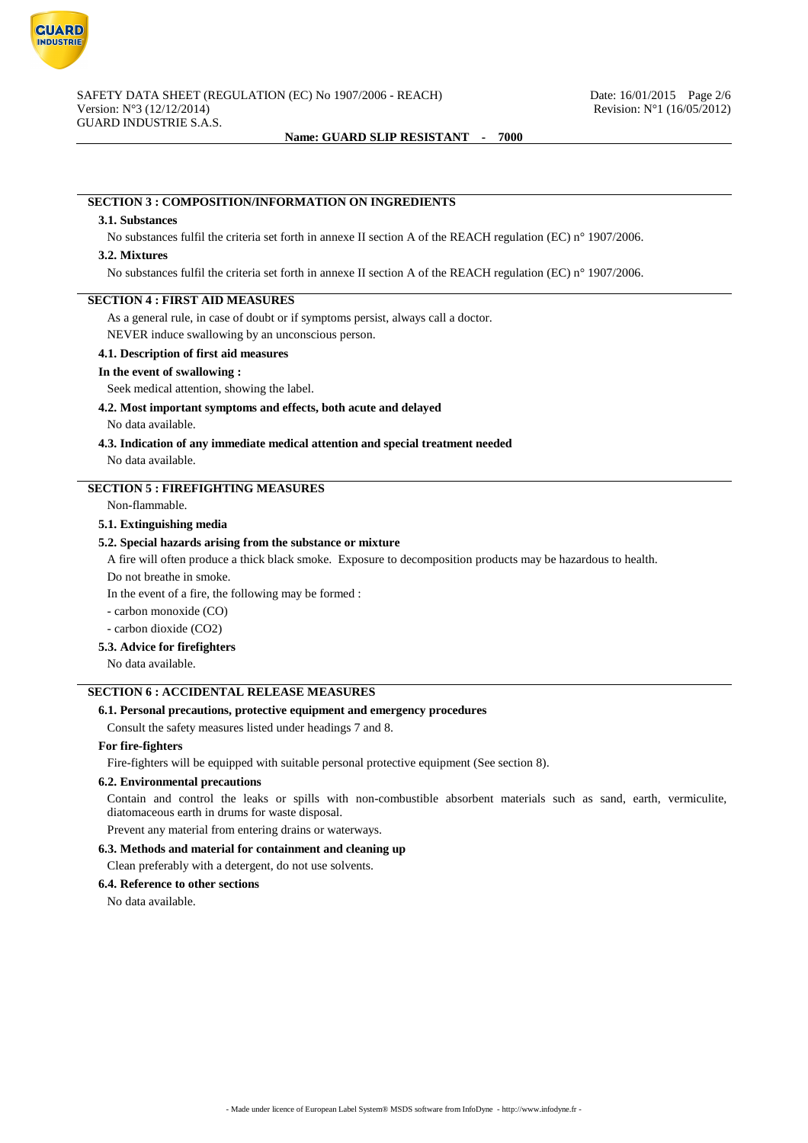

# **SECTION 3 : COMPOSITION/INFORMATION ON INGREDIENTS**

#### **3.1. Substances**

No substances fulfil the criteria set forth in annexe II section A of the REACH regulation (EC) n° 1907/2006.

#### **3.2. Mixtures**

No substances fulfil the criteria set forth in annexe II section A of the REACH regulation (EC) n° 1907/2006.

### **SECTION 4 : FIRST AID MEASURES**

As a general rule, in case of doubt or if symptoms persist, always call a doctor.

NEVER induce swallowing by an unconscious person.

## **4.1. Description of first aid measures**

#### **In the event of swallowing :**

Seek medical attention, showing the label.

## **4.2. Most important symptoms and effects, both acute and delayed**

No data available.

#### **4.3. Indication of any immediate medical attention and special treatment needed**

No data available.

## **SECTION 5 : FIREFIGHTING MEASURES**

Non-flammable.

#### **5.1. Extinguishing media**

### **5.2. Special hazards arising from the substance or mixture**

A fire will often produce a thick black smoke. Exposure to decomposition products may be hazardous to health.

Do not breathe in smoke.

In the event of a fire, the following may be formed :

- carbon monoxide (CO)

- carbon dioxide (CO2)

# **5.3. Advice for firefighters**

No data available.

# **SECTION 6 : ACCIDENTAL RELEASE MEASURES**

## **6.1. Personal precautions, protective equipment and emergency procedures**

Consult the safety measures listed under headings 7 and 8.

#### **For fire-fighters**

Fire-fighters will be equipped with suitable personal protective equipment (See section 8).

### **6.2. Environmental precautions**

Contain and control the leaks or spills with non-combustible absorbent materials such as sand, earth, vermiculite, diatomaceous earth in drums for waste disposal.

Prevent any material from entering drains or waterways.

#### **6.3. Methods and material for containment and cleaning up**

Clean preferably with a detergent, do not use solvents.

### **6.4. Reference to other sections**

No data available.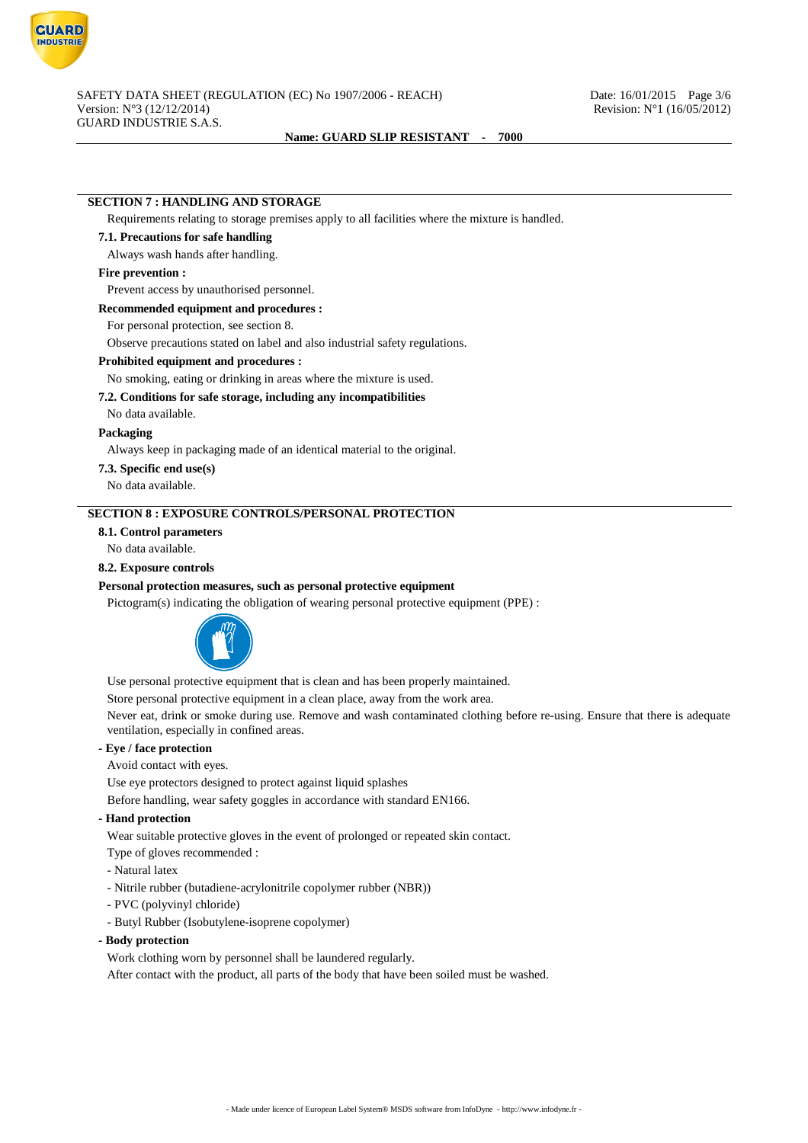

## **SECTION 7 : HANDLING AND STORAGE**

Requirements relating to storage premises apply to all facilities where the mixture is handled.

# **7.1. Precautions for safe handling**

Always wash hands after handling.

## **Fire prevention :**

Prevent access by unauthorised personnel.

### **Recommended equipment and procedures :**

For personal protection, see section 8.

Observe precautions stated on label and also industrial safety regulations.

#### **Prohibited equipment and procedures :**

No smoking, eating or drinking in areas where the mixture is used.

#### **7.2. Conditions for safe storage, including any incompatibilities**

No data available.

#### **Packaging**

Always keep in packaging made of an identical material to the original.

**7.3. Specific end use(s)**

No data available.

# **SECTION 8 : EXPOSURE CONTROLS/PERSONAL PROTECTION**

## **8.1. Control parameters**

No data available.

#### **8.2. Exposure controls**

#### **Personal protection measures, such as personal protective equipment**

Pictogram(s) indicating the obligation of wearing personal protective equipment (PPE) :



Use personal protective equipment that is clean and has been properly maintained.

Store personal protective equipment in a clean place, away from the work area.

Never eat, drink or smoke during use. Remove and wash contaminated clothing before re-using. Ensure that there is adequate ventilation, especially in confined areas.

# **- Eye / face protection**

Avoid contact with eyes.

Use eye protectors designed to protect against liquid splashes

Before handling, wear safety goggles in accordance with standard EN166.

### **- Hand protection**

Wear suitable protective gloves in the event of prolonged or repeated skin contact.

- Type of gloves recommended :
- Natural latex
- Nitrile rubber (butadiene-acrylonitrile copolymer rubber (NBR))
- PVC (polyvinyl chloride)
- Butyl Rubber (Isobutylene-isoprene copolymer)

## **- Body protection**

Work clothing worn by personnel shall be laundered regularly.

After contact with the product, all parts of the body that have been soiled must be washed.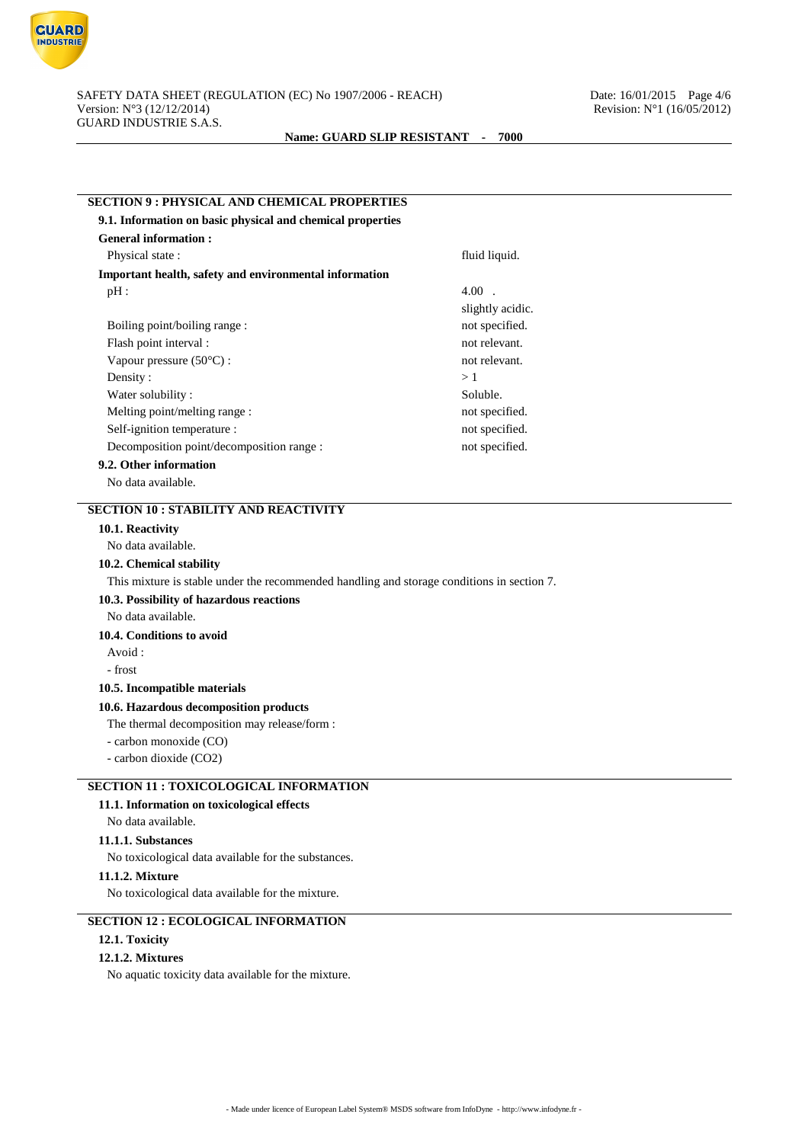

| 9.1. Information on basic physical and chemical properties                                 |                  |  |
|--------------------------------------------------------------------------------------------|------------------|--|
| <b>General information:</b>                                                                |                  |  |
| Physical state:                                                                            | fluid liquid.    |  |
| Important health, safety and environmental information                                     |                  |  |
| $pH$ :                                                                                     | $4.00$ .         |  |
|                                                                                            | slightly acidic. |  |
| Boiling point/boiling range :                                                              | not specified.   |  |
| Flash point interval :                                                                     | not relevant.    |  |
| Vapour pressure (50°C):                                                                    | not relevant.    |  |
| Density:                                                                                   | >1               |  |
| Water solubility:                                                                          | Soluble.         |  |
| Melting point/melting range:                                                               | not specified.   |  |
| Self-ignition temperature :                                                                | not specified.   |  |
| Decomposition point/decomposition range :                                                  | not specified.   |  |
| 9.2. Other information                                                                     |                  |  |
| No data available.                                                                         |                  |  |
| <b>SECTION 10 : STABILITY AND REACTIVITY</b>                                               |                  |  |
| 10.1. Reactivity                                                                           |                  |  |
| No data available.                                                                         |                  |  |
| 10.2. Chemical stability                                                                   |                  |  |
| This mixture is stable under the recommended handling and storage conditions in section 7. |                  |  |
| 10.3. Possibility of hazardous reactions                                                   |                  |  |
| No data available.                                                                         |                  |  |
|                                                                                            |                  |  |
| 10.4. Conditions to avoid                                                                  |                  |  |
| Avoid:                                                                                     |                  |  |
| - frost                                                                                    |                  |  |
| 10.5. Incompatible materials                                                               |                  |  |
|                                                                                            |                  |  |
| 10.6. Hazardous decomposition products                                                     |                  |  |
| The thermal decomposition may release/form :<br>- carbon monoxide (CO)                     |                  |  |
| - carbon dioxide (CO2)                                                                     |                  |  |
|                                                                                            |                  |  |
| <b>SECTION 11 : TOXICOLOGICAL INFORMATION</b>                                              |                  |  |
| 11.1. Information on toxicological effects<br>No data available.                           |                  |  |

No toxicological data available for the substances.

**11.1.2. Mixture**

No toxicological data available for the mixture.

# **SECTION 12 : ECOLOGICAL INFORMATION**

## **12.1. Toxicity**

# **12.1.2. Mixtures**

No aquatic toxicity data available for the mixture.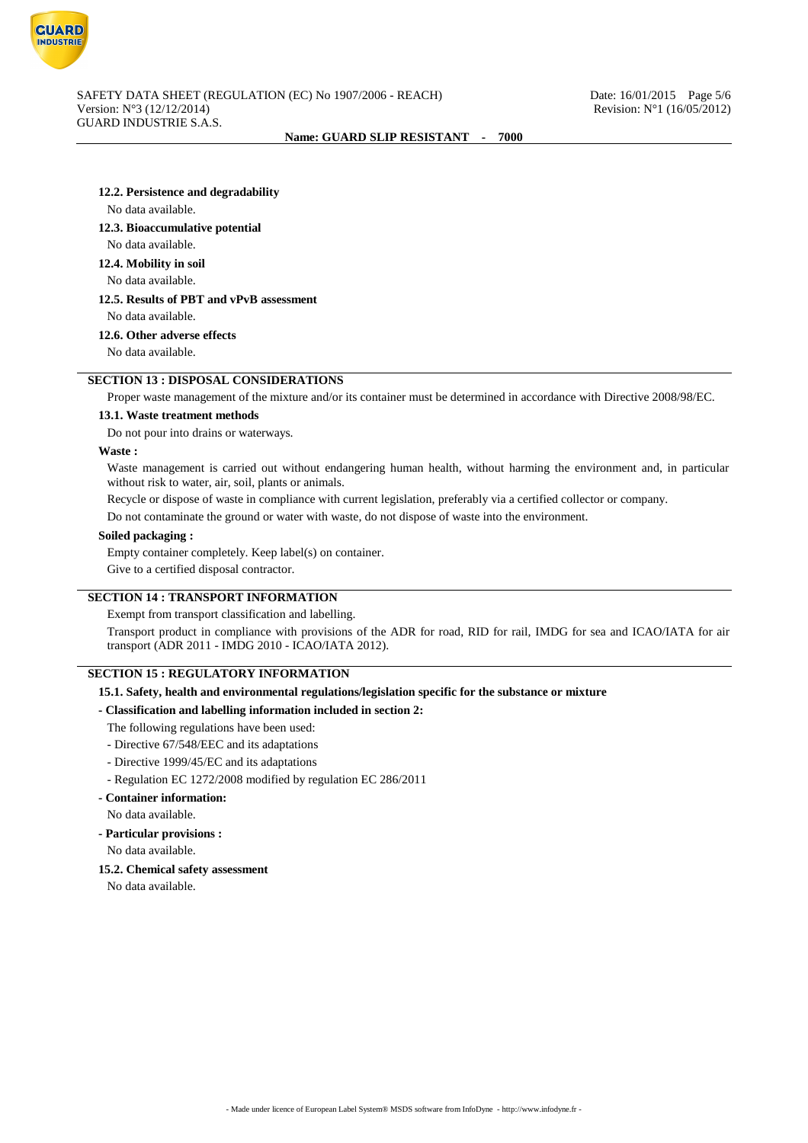

#### **12.2. Persistence and degradability**

#### No data available.

### **12.3. Bioaccumulative potential**

No data available.

## **12.4. Mobility in soil**

No data available.

## **12.5. Results of PBT and vPvB assessment**

No data available.

## **12.6. Other adverse effects**

No data available.

# **SECTION 13 : DISPOSAL CONSIDERATIONS**

Proper waste management of the mixture and/or its container must be determined in accordance with Directive 2008/98/EC.

#### **13.1. Waste treatment methods**

Do not pour into drains or waterways.

## **Waste :**

Waste management is carried out without endangering human health, without harming the environment and, in particular without risk to water, air, soil, plants or animals.

Recycle or dispose of waste in compliance with current legislation, preferably via a certified collector or company.

Do not contaminate the ground or water with waste, do not dispose of waste into the environment.

#### **Soiled packaging :**

Empty container completely. Keep label(s) on container.

Give to a certified disposal contractor.

### **SECTION 14 : TRANSPORT INFORMATION**

## Exempt from transport classification and labelling.

Transport product in compliance with provisions of the ADR for road, RID for rail, IMDG for sea and ICAO/IATA for air transport (ADR 2011 - IMDG 2010 - ICAO/IATA 2012).

# **SECTION 15 : REGULATORY INFORMATION**

## **15.1. Safety, health and environmental regulations/legislation specific for the substance or mixture**

### **- Classification and labelling information included in section 2:**

The following regulations have been used:

- Directive 67/548/EEC and its adaptations
- Directive 1999/45/EC and its adaptations
- Regulation EC 1272/2008 modified by regulation EC 286/2011

### **- Container information:**

No data available.

#### **- Particular provisions :**

No data available.

#### **15.2. Chemical safety assessment**

No data available.